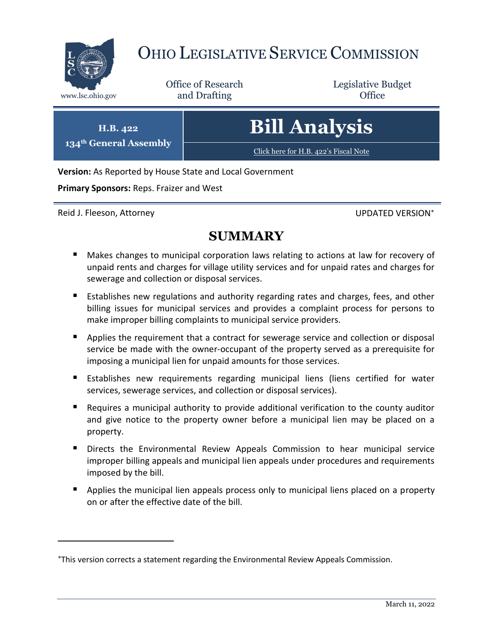

# OHIO LEGISLATIVE SERVICE COMMISSION

Office of Research www.lsc.ohio.gov **and Drafting Office** 

Legislative Budget

**134th General Assembly Bill Analysis**

[Click here for H.B. 422](https://www.legislature.ohio.gov/legislation/legislation-documents?id=GA134-HB-422)'s Fiscal Note

**Version:** As Reported by House State and Local Government

**Primary Sponsors:** Reps. Fraizer and West

Reid J. Fleeson, Attorney **Network and Struth and Struth Australia** Christian UPDATED VERSION<sup>\*</sup>

 $\overline{a}$ 

**H.B. 422**

## **SUMMARY**

- **Makes changes to municipal corporation laws relating to actions at law for recovery of** unpaid rents and charges for village utility services and for unpaid rates and charges for sewerage and collection or disposal services.
- **Establishes new regulations and authority regarding rates and charges, fees, and other** billing issues for municipal services and provides a complaint process for persons to make improper billing complaints to municipal service providers.
- **Applies the requirement that a contract for sewerage service and collection or disposal** service be made with the owner-occupant of the property served as a prerequisite for imposing a municipal lien for unpaid amounts for those services.
- **Establishes new requirements regarding municipal liens (liens certified for water** services, sewerage services, and collection or disposal services).
- Requires a municipal authority to provide additional verification to the county auditor and give notice to the property owner before a municipal lien may be placed on a property.
- Directs the Environmental Review Appeals Commission to hear municipal service improper billing appeals and municipal lien appeals under procedures and requirements imposed by the bill.
- **Applies the municipal lien appeals process only to municipal liens placed on a property** on or after the effective date of the bill.

This version corrects a statement regarding the Environmental Review Appeals Commission.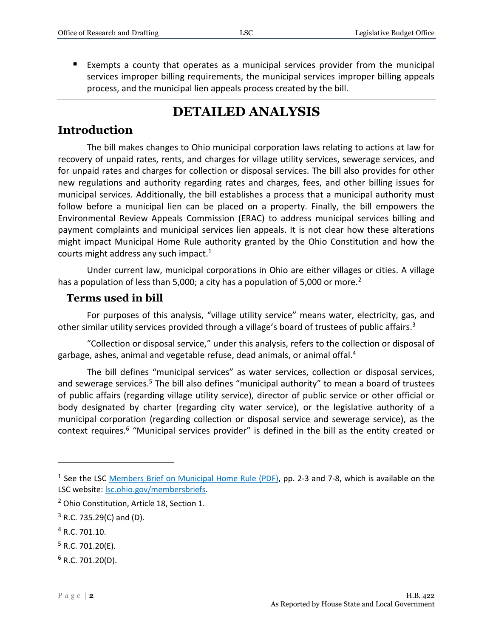Exempts a county that operates as a municipal services provider from the municipal services improper billing requirements, the municipal services improper billing appeals process, and the municipal lien appeals process created by the bill.

# **DETAILED ANALYSIS**

### **Introduction**

The bill makes changes to Ohio municipal corporation laws relating to actions at law for recovery of unpaid rates, rents, and charges for village utility services, sewerage services, and for unpaid rates and charges for collection or disposal services. The bill also provides for other new regulations and authority regarding rates and charges, fees, and other billing issues for municipal services. Additionally, the bill establishes a process that a municipal authority must follow before a municipal lien can be placed on a property. Finally, the bill empowers the Environmental Review Appeals Commission (ERAC) to address municipal services billing and payment complaints and municipal services lien appeals. It is not clear how these alterations might impact Municipal Home Rule authority granted by the Ohio Constitution and how the courts might address any such impact.<sup>1</sup>

Under current law, municipal corporations in Ohio are either villages or cities. A village has a population of less than 5,000; a city has a population of 5,000 or more.<sup>2</sup>

### **Terms used in bill**

For purposes of this analysis, "village utility service" means water, electricity, gas, and other similar utility services provided through a village's board of trustees of public affairs.<sup>3</sup>

"Collection or disposal service," under this analysis, refers to the collection or disposal of garbage, ashes, animal and vegetable refuse, dead animals, or animal offal. 4

The bill defines "municipal services" as water services, collection or disposal services, and sewerage services.<sup>5</sup> The bill also defines "municipal authority" to mean a board of trustees of public affairs (regarding village utility service), director of public service or other official or body designated by charter (regarding city water service), or the legislative authority of a municipal corporation (regarding collection or disposal service and sewerage service), as the context requires.<sup>6</sup> "Municipal services provider" is defined in the bill as the entity created or

<sup>4</sup> R.C. 701.10.

- $5$  R.C. 701.20(E).
- $6$  R.C. 701.20(D).

<sup>&</sup>lt;sup>1</sup> See the LSC [Members Brief on Municipal Home Rule \(PDF\),](http://www.lsc.state.oh.us/documents/reference/current/membersonlybriefs/133Municipal%20Home%20Rule.pdf#page=2) pp. 2-3 and 7-8, which is available on the LSC website[: lsc.ohio.gov/membersbriefs.](https://www.lsc.ohio.gov/pages/reference/current/membersbriefs.aspx)

<sup>&</sup>lt;sup>2</sup> Ohio Constitution, Article 18, Section 1.

 $3$  R.C. 735.29(C) and (D).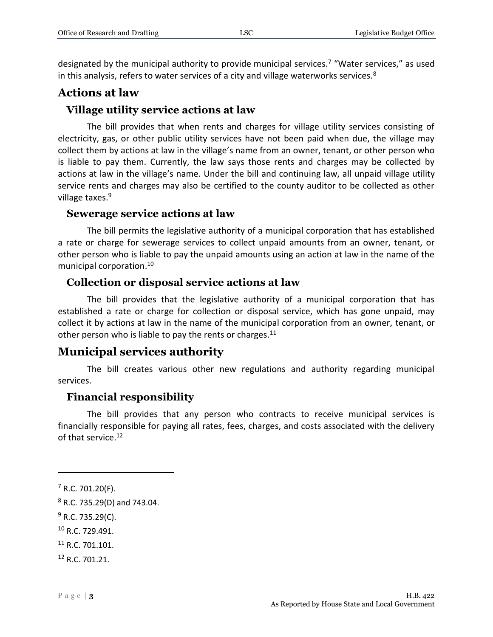designated by the municipal authority to provide municipal services.<sup>7</sup> "Water services," as used in this analysis, refers to water services of a city and village waterworks services.<sup>8</sup>

### **Actions at law**

### **Village utility service actions at law**

The bill provides that when rents and charges for village utility services consisting of electricity, gas, or other public utility services have not been paid when due, the village may collect them by actions at law in the village's name from an owner, tenant, or other person who is liable to pay them. Currently, the law says those rents and charges may be collected by actions at law in the village's name. Under the bill and continuing law, all unpaid village utility service rents and charges may also be certified to the county auditor to be collected as other village taxes.<sup>9</sup>

#### **Sewerage service actions at law**

The bill permits the legislative authority of a municipal corporation that has established a rate or charge for sewerage services to collect unpaid amounts from an owner, tenant, or other person who is liable to pay the unpaid amounts using an action at law in the name of the municipal corporation.<sup>10</sup>

### **Collection or disposal service actions at law**

The bill provides that the legislative authority of a municipal corporation that has established a rate or charge for collection or disposal service, which has gone unpaid, may collect it by actions at law in the name of the municipal corporation from an owner, tenant, or other person who is liable to pay the rents or charges.<sup>11</sup>

### **Municipal services authority**

The bill creates various other new regulations and authority regarding municipal services.

### **Financial responsibility**

The bill provides that any person who contracts to receive municipal services is financially responsible for paying all rates, fees, charges, and costs associated with the delivery of that service.<sup>12</sup>

<sup>7</sup> R.C. 701.20(F).

<sup>8</sup> R.C. 735.29(D) and 743.04.

 $9$  R.C. 735.29(C).

<sup>10</sup> R.C. 729.491.

<sup>&</sup>lt;sup>11</sup> R.C. 701.101.

<sup>12</sup> R.C. 701.21.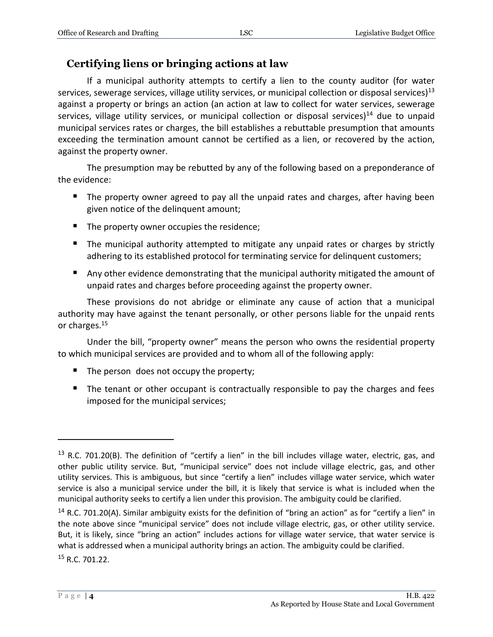### **Certifying liens or bringing actions at law**

If a municipal authority attempts to certify a lien to the county auditor (for water services, sewerage services, village utility services, or municipal collection or disposal services)<sup>13</sup> against a property or brings an action (an action at law to collect for water services, sewerage services, village utility services, or municipal collection or disposal services) $<sup>14</sup>$  due to unpaid</sup> municipal services rates or charges, the bill establishes a rebuttable presumption that amounts exceeding the termination amount cannot be certified as a lien, or recovered by the action, against the property owner.

The presumption may be rebutted by any of the following based on a preponderance of the evidence:

- The property owner agreed to pay all the unpaid rates and charges, after having been given notice of the delinquent amount;
- The property owner occupies the residence;
- The municipal authority attempted to mitigate any unpaid rates or charges by strictly adhering to its established protocol for terminating service for delinquent customers;
- Any other evidence demonstrating that the municipal authority mitigated the amount of unpaid rates and charges before proceeding against the property owner.

These provisions do not abridge or eliminate any cause of action that a municipal authority may have against the tenant personally, or other persons liable for the unpaid rents or charges.<sup>15</sup>

Under the bill, "property owner" means the person who owns the residential property to which municipal services are provided and to whom all of the following apply:

- The person does not occupy the property;
- The tenant or other occupant is contractually responsible to pay the charges and fees imposed for the municipal services;

 $13$  R.C. 701.20(B). The definition of "certify a lien" in the bill includes village water, electric, gas, and other public utility service. But, "municipal service" does not include village electric, gas, and other utility services. This is ambiguous, but since "certify a lien" includes village water service, which water service is also a municipal service under the bill, it is likely that service is what is included when the municipal authority seeks to certify a lien under this provision. The ambiguity could be clarified.

<sup>&</sup>lt;sup>14</sup> R.C. 701.20(A). Similar ambiguity exists for the definition of "bring an action" as for "certify a lien" in the note above since "municipal service" does not include village electric, gas, or other utility service. But, it is likely, since "bring an action" includes actions for village water service, that water service is what is addressed when a municipal authority brings an action. The ambiguity could be clarified. <sup>15</sup> R.C. 701.22.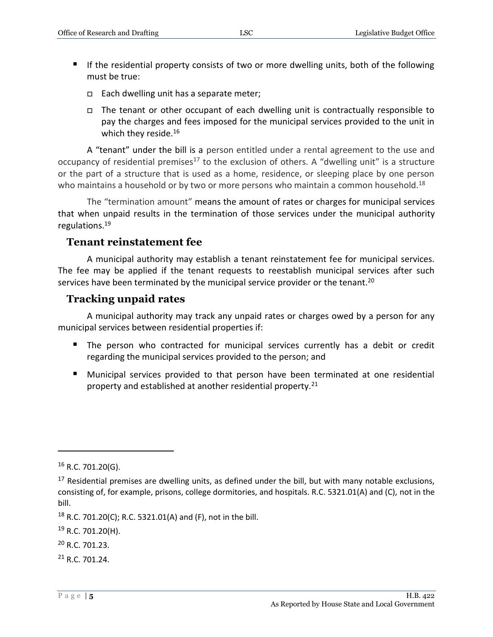- If the residential property consists of two or more dwelling units, both of the following must be true:
	- $\Box$  Each dwelling unit has a separate meter;
	- $\Box$  The tenant or other occupant of each dwelling unit is contractually responsible to pay the charges and fees imposed for the municipal services provided to the unit in which they reside.<sup>16</sup>

A "tenant" under the bill is a person entitled under a rental agreement to the use and occupancy of residential premises<sup>17</sup> to the exclusion of others. A "dwelling unit" is a structure or the part of a structure that is used as a home, residence, or sleeping place by one person who maintains a household or by two or more persons who maintain a common household.<sup>18</sup>

The "termination amount" means the amount of rates or charges for municipal services that when unpaid results in the termination of those services under the municipal authority regulations.<sup>19</sup>

#### **Tenant reinstatement fee**

A municipal authority may establish a tenant reinstatement fee for municipal services. The fee may be applied if the tenant requests to reestablish municipal services after such services have been terminated by the municipal service provider or the tenant.<sup>20</sup>

### **Tracking unpaid rates**

A municipal authority may track any unpaid rates or charges owed by a person for any municipal services between residential properties if:

- The person who contracted for municipal services currently has a debit or credit regarding the municipal services provided to the person; and
- **Municipal services provided to that person have been terminated at one residential** property and established at another residential property.<sup>21</sup>

 $\overline{a}$ 

<sup>21</sup> R.C. 701.24.

 $16$  R.C. 701.20(G).

 $17$  Residential premises are dwelling units, as defined under the bill, but with many notable exclusions, consisting of, for example, prisons, college dormitories, and hospitals. R.C. 5321.01(A) and (C), not in the bill.

<sup>&</sup>lt;sup>18</sup> R.C. 701.20(C); R.C. 5321.01(A) and (F), not in the bill.

<sup>&</sup>lt;sup>19</sup> R.C. 701.20(H).

<sup>20</sup> R.C. 701.23.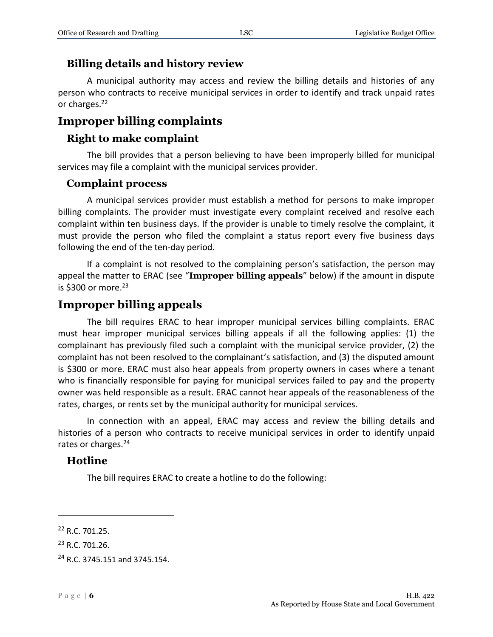### **Billing details and history review**

A municipal authority may access and review the billing details and histories of any person who contracts to receive municipal services in order to identify and track unpaid rates or charges.<sup>22</sup>

### **Improper billing complaints**

### **Right to make complaint**

The bill provides that a person believing to have been improperly billed for municipal services may file a complaint with the municipal services provider.

#### **Complaint process**

A municipal services provider must establish a method for persons to make improper billing complaints. The provider must investigate every complaint received and resolve each complaint within ten business days. If the provider is unable to timely resolve the complaint, it must provide the person who filed the complaint a status report every five business days following the end of the ten-day period.

If a complaint is not resolved to the complaining person's satisfaction, the person may appeal the matter to ERAC (see "**Improper billing appeals**" below) if the amount in dispute is \$300 or more. $23$ 

### **Improper billing appeals**

The bill requires ERAC to hear improper municipal services billing complaints. ERAC must hear improper municipal services billing appeals if all the following applies: (1) the complainant has previously filed such a complaint with the municipal service provider, (2) the complaint has not been resolved to the complainant's satisfaction, and (3) the disputed amount is \$300 or more. ERAC must also hear appeals from property owners in cases where a tenant who is financially responsible for paying for municipal services failed to pay and the property owner was held responsible as a result. ERAC cannot hear appeals of the reasonableness of the rates, charges, or rents set by the municipal authority for municipal services.

In connection with an appeal, ERAC may access and review the billing details and histories of a person who contracts to receive municipal services in order to identify unpaid rates or charges.<sup>24</sup>

#### **Hotline**

The bill requires ERAC to create a hotline to do the following:

<sup>22</sup> R.C. 701.25.

<sup>23</sup> R.C. 701.26.

<sup>24</sup> R.C. 3745.151 and 3745.154.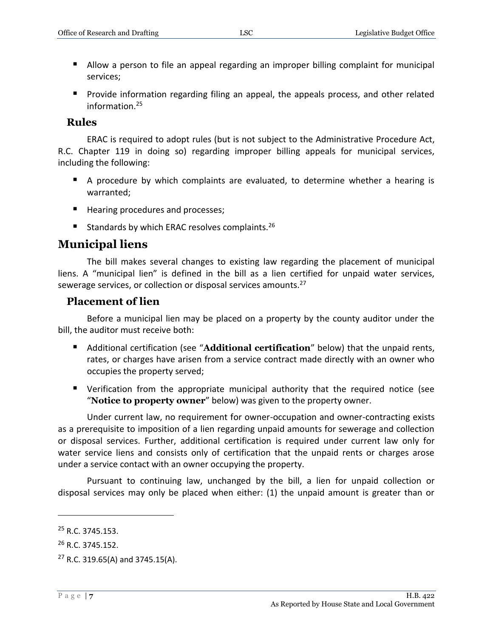- **Allow a person to file an appeal regarding an improper billing complaint for municipal** services;
- Provide information regarding filing an appeal, the appeals process, and other related information.<sup>25</sup>

#### **Rules**

ERAC is required to adopt rules (but is not subject to the Administrative Procedure Act, R.C. Chapter 119 in doing so) regarding improper billing appeals for municipal services, including the following:

- A procedure by which complaints are evaluated, to determine whether a hearing is warranted;
- Hearing procedures and processes;
- Standards by which ERAC resolves complaints.<sup>26</sup>

### **Municipal liens**

The bill makes several changes to existing law regarding the placement of municipal liens. A "municipal lien" is defined in the bill as a lien certified for unpaid water services, sewerage services, or collection or disposal services amounts.<sup>27</sup>

#### **Placement of lien**

Before a municipal lien may be placed on a property by the county auditor under the bill, the auditor must receive both:

- Additional certification (see "**Additional certification**" below) that the unpaid rents, rates, or charges have arisen from a service contract made directly with an owner who occupies the property served;
- Verification from the appropriate municipal authority that the required notice (see "**Notice to property owner**" below) was given to the property owner.

Under current law, no requirement for owner-occupation and owner-contracting exists as a prerequisite to imposition of a lien regarding unpaid amounts for sewerage and collection or disposal services. Further, additional certification is required under current law only for water service liens and consists only of certification that the unpaid rents or charges arose under a service contact with an owner occupying the property.

Pursuant to continuing law, unchanged by the bill, a lien for unpaid collection or disposal services may only be placed when either: (1) the unpaid amount is greater than or

<sup>&</sup>lt;sup>25</sup> R.C. 3745.153.

<sup>&</sup>lt;sup>26</sup> R.C. 3745.152.

 $27$  R.C. 319.65(A) and 3745.15(A).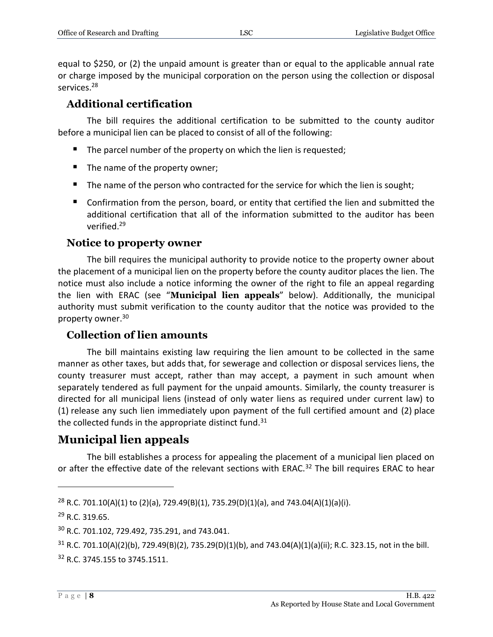equal to \$250, or (2) the unpaid amount is greater than or equal to the applicable annual rate or charge imposed by the municipal corporation on the person using the collection or disposal services.<sup>28</sup>

### **Additional certification**

The bill requires the additional certification to be submitted to the county auditor before a municipal lien can be placed to consist of all of the following:

- The parcel number of the property on which the lien is requested;
- $\blacksquare$  The name of the property owner;
- The name of the person who contracted for the service for which the lien is sought;
- Confirmation from the person, board, or entity that certified the lien and submitted the additional certification that all of the information submitted to the auditor has been verified.<sup>29</sup>

#### **Notice to property owner**

The bill requires the municipal authority to provide notice to the property owner about the placement of a municipal lien on the property before the county auditor places the lien. The notice must also include a notice informing the owner of the right to file an appeal regarding the lien with ERAC (see "**Municipal lien appeals**" below). Additionally, the municipal authority must submit verification to the county auditor that the notice was provided to the property owner.<sup>30</sup>

#### **Collection of lien amounts**

The bill maintains existing law requiring the lien amount to be collected in the same manner as other taxes, but adds that, for sewerage and collection or disposal services liens, the county treasurer must accept, rather than may accept, a payment in such amount when separately tendered as full payment for the unpaid amounts. Similarly, the county treasurer is directed for all municipal liens (instead of only water liens as required under current law) to (1) release any such lien immediately upon payment of the full certified amount and (2) place the collected funds in the appropriate distinct fund. $31$ 

### **Municipal lien appeals**

The bill establishes a process for appealing the placement of a municipal lien placed on or after the effective date of the relevant sections with ERAC.<sup>32</sup> The bill requires ERAC to hear

<sup>&</sup>lt;sup>28</sup> R.C. 701.10(A)(1) to (2)(a), 729.49(B)(1), 735.29(D)(1)(a), and 743.04(A)(1)(a)(i).

<sup>29</sup> R.C. 319.65.

<sup>30</sup> R.C. 701.102, 729.492, 735.291, and 743.041.

<sup>31</sup> R.C. 701.10(A)(2)(b), 729.49(B)(2), 735.29(D)(1)(b), and 743.04(A)(1)(a)(ii); R.C. 323.15, not in the bill. <sup>32</sup> R.C. 3745.155 to 3745.1511.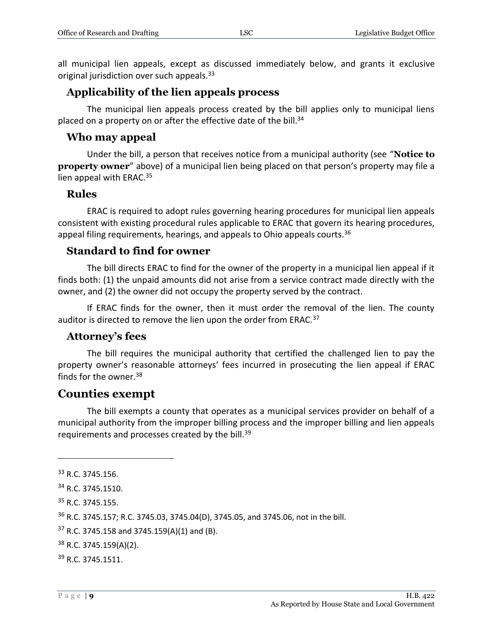all municipal lien appeals, except as discussed immediately below, and grants it exclusive original jurisdiction over such appeals.<sup>33</sup>

### **Applicability of the lien appeals process**

The municipal lien appeals process created by the bill applies only to municipal liens placed on a property on or after the effective date of the bill.<sup>34</sup>

### **Who may appeal**

Under the bill, a person that receives notice from a municipal authority (see "**Notice to property owner**" above) of a municipal lien being placed on that person's property may file a lien appeal with ERAC.<sup>35</sup>

### **Rules**

ERAC is required to adopt rules governing hearing procedures for municipal lien appeals consistent with existing procedural rules applicable to ERAC that govern its hearing procedures, appeal filing requirements, hearings, and appeals to Ohio appeals courts.<sup>36</sup>

### **Standard to find for owner**

The bill directs ERAC to find for the owner of the property in a municipal lien appeal if it finds both: (1) the unpaid amounts did not arise from a service contract made directly with the owner, and (2) the owner did not occupy the property served by the contract.

If ERAC finds for the owner, then it must order the removal of the lien. The county auditor is directed to remove the lien upon the order from ERAC.<sup>37</sup>

### **Attorney's fees**

The bill requires the municipal authority that certified the challenged lien to pay the property owner's reasonable attorneys' fees incurred in prosecuting the lien appeal if ERAC finds for the owner.<sup>38</sup>

### **Counties exempt**

The bill exempts a county that operates as a municipal services provider on behalf of a municipal authority from the improper billing process and the improper billing and lien appeals requirements and processes created by the bill.<sup>39</sup>

<sup>&</sup>lt;sup>33</sup> R.C. 3745.156.

<sup>34</sup> R.C. 3745.1510.

<sup>35</sup> R.C. 3745.155.

<sup>36</sup> R.C. 3745.157; R.C. 3745.03, 3745.04(D), 3745.05, and 3745.06, not in the bill.

 $37$  R.C. 3745.158 and 3745.159(A)(1) and (B).

<sup>38</sup> R.C. 3745.159(A)(2).

<sup>39</sup> R.C. 3745.1511.